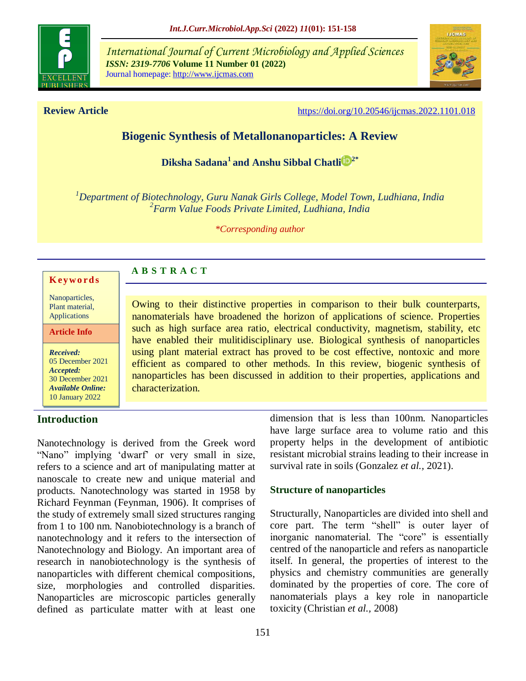

*International Journal of Current Microbiology and Applied Sciences ISSN: 2319-7706* **Volume 11 Number 01 (2022)**  Journal homepage: http://www.ijcmas.com



**Review Article <https://doi.org/10.20546/ijcmas.2022.1101.018>** 

# **Biogenic Synthesis of Metallonanoparticles: A Review**

**Diksha Sadana<sup>1</sup> and [Anshu Sibbal Chatli](https://orcid.org/0000-0001-6024-6422) 2\***

*<sup>1</sup>Department of Biotechnology, Guru Nanak Girls College, Model Town, Ludhiana, India 2 Farm Value Foods Private Limited, Ludhiana, India*

*\*Corresponding author*

#### **K ey w o rd s**

Nanoparticles, Plant material, Applications

**Article Info**

*Received:*  05 December 2021 *Accepted:*  30 December 2021 *Available Online:* 10 January 2022

### **Introduction**

Nanotechnology is derived from the Greek word "Nano" implying 'dwarf' or very small in size, refers to a science and art of manipulating matter at nanoscale to create new and unique material and products. Nanotechnology was started in 1958 by Richard Feynman (Feynman, 1906). It comprises of the study of extremely small sized structures ranging from 1 to 100 nm. Nanobiotechnology is a branch of nanotechnology and it refers to the intersection of Nanotechnology and Biology. An important area of research in nanobiotechnology is the synthesis of nanoparticles with different chemical compositions, size, morphologies and controlled disparities. Nanoparticles are microscopic particles generally defined as particulate matter with at least one

**A B S T R A C T**

Owing to their distinctive properties in comparison to their bulk counterparts, nanomaterials have broadened the horizon of applications of science. Properties such as high surface area ratio, electrical conductivity, magnetism, stability, etc have enabled their mulitidisciplinary use. Biological synthesis of nanoparticles using plant material extract has proved to be cost effective, nontoxic and more efficient as compared to other methods. In this review, biogenic synthesis of nanoparticles has been discussed in addition to their properties, applications and characterization.

> dimension that is less than 100nm. Nanoparticles have large surface area to volume ratio and this property helps in the development of antibiotic resistant microbial strains leading to their increase in survival rate in soils (Gonzalez *et al.,* 2021).

#### **Structure of nanoparticles**

Structurally, Nanoparticles are divided into shell and core part. The term "shell" is outer layer of inorganic nanomaterial. The "core" is essentially centred of the nanoparticle and refers as nanoparticle itself. In general, the properties of interest to the physics and chemistry communities are generally dominated by the properties of core. The core of nanomaterials plays a key role in nanoparticle toxicity (Christian *et al.,* 2008)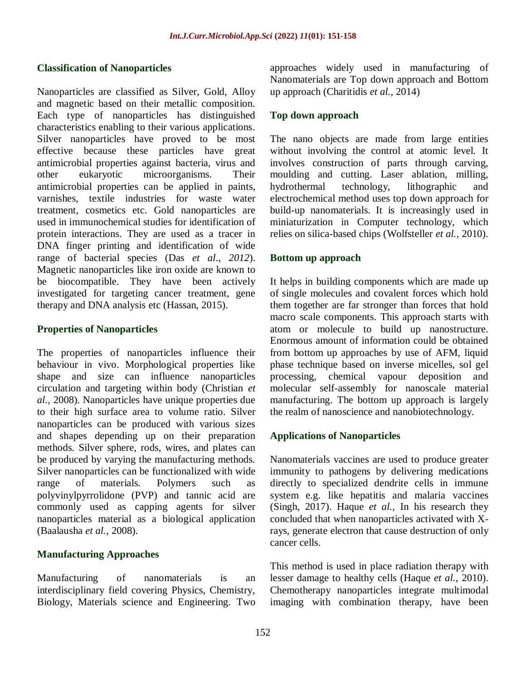#### **Classification of Nanoparticles**

Nanoparticles are classified as Silver, Gold, Alloy and magnetic based on their metallic composition. Each type of nanoparticles has distinguished characteristics enabling to their various applications. Silver nanoparticles have proved to be most effective because these particles have great antimicrobial properties against bacteria, virus and other eukaryotic microorganisms. Their antimicrobial properties can be applied in paints, varnishes, textile industries for waste water treatment, cosmetics etc. Gold nanoparticles are used in immunochemical studies for identification of protein interactions. They are used as a tracer in DNA finger printing and identification of wide range of bacterial species (Das *et al*., *2012*). Magnetic nanoparticles like iron oxide are known to be biocompatible. They have been actively investigated for targeting cancer treatment, gene therapy and DNA analysis etc (Hassan, 2015).

#### **Properties of Nanoparticles**

The properties of nanoparticles influence their behaviour in vivo. Morphological properties like shape and size can influence nanoparticles circulation and targeting within body (Christian *et al.,* 2008). Nanoparticles have unique properties due to their high surface area to volume ratio. Silver nanoparticles can be produced with various sizes and shapes depending up on their preparation methods. Silver sphere, rods, wires, and plates can be produced by varying the manufacturing methods. Silver nanoparticles can be functionalized with wide range of materials. Polymers such as polyvinylpyrrolidone (PVP) and tannic acid are commonly used as capping agents for silver nanoparticles material as a biological application (Baalausha *et al.,* 2008).

### **Manufacturing Approaches**

Manufacturing of nanomaterials is an interdisciplinary field covering Physics, Chemistry, Biology, Materials science and Engineering. Two approaches widely used in manufacturing of Nanomaterials are Top down approach and Bottom up approach (Charitidis *et al.,* 2014)

#### **Top down approach**

The nano objects are made from large entities without involving the control at atomic level. It involves construction of parts through carving, moulding and cutting. Laser ablation, milling, hydrothermal technology, lithographic and electrochemical method uses top down approach for build-up nanomaterials. It is increasingly used in miniaturization in Computer technology, which relies on silica-based chips (Wolfsteller *et al.,* 2010).

#### **Bottom up approach**

It helps in building components which are made up of single molecules and covalent forces which hold them together are far stronger than forces that hold macro scale components. This approach starts with atom or molecule to build up nanostructure. Enormous amount of information could be obtained from bottom up approaches by use of AFM, liquid phase technique based on inverse micelles, sol gel processing, chemical vapour deposition and molecular self-assembly for nanoscale material manufacturing. The bottom up approach is largely the realm of nanoscience and nanobiotechnology.

### **Applications of Nanoparticles**

Nanomaterials vaccines are used to produce greater immunity to pathogens by delivering medications directly to specialized dendrite cells in immune system e.g. like hepatitis and malaria vaccines (Singh, 2017). Haque *et al.,* In his research they concluded that when nanoparticles activated with Xrays, generate electron that cause destruction of only cancer cells.

This method is used in place radiation therapy with lesser damage to healthy cells (Haque *et al.,* 2010). Chemotherapy nanoparticles integrate multimodal imaging with combination therapy, have been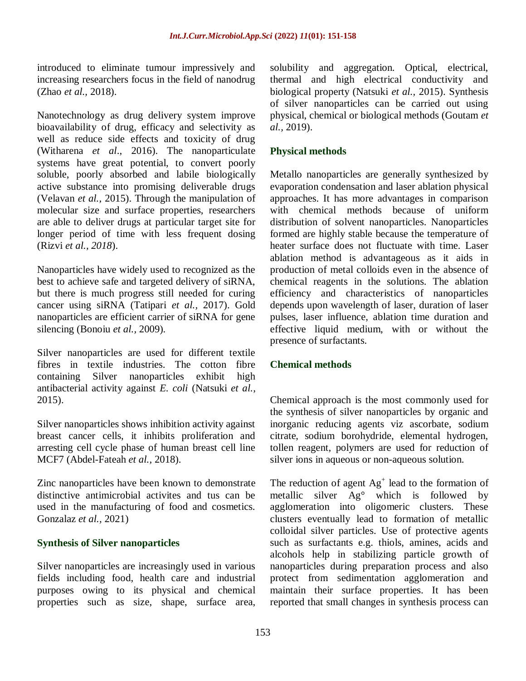introduced to eliminate tumour impressively and increasing researchers focus in the field of nanodrug (Zhao *et al.,* 2018).

Nanotechnology as drug delivery system improve bioavailability of drug, efficacy and selectivity as well as reduce side effects and toxicity of drug (Witharena *et al*., 2016). The nanoparticulate systems have great potential, to convert poorly soluble, poorly absorbed and labile biologically active substance into promising deliverable drugs (Velavan *et al.,* 2015). Through the manipulation of molecular size and surface properties, researchers are able to deliver drugs at particular target site for longer period of time with less frequent dosing (Rizvi *et al., 2018*).

Nanoparticles have widely used to recognized as the best to achieve safe and targeted delivery of siRNA, but there is much progress still needed for curing cancer using siRNA (Tatipari *et al.,* 2017). Gold nanoparticles are efficient carrier of siRNA for gene silencing (Bonoiu *et al.,* 2009).

Silver nanoparticles are used for different textile fibres in textile industries. The cotton fibre containing Silver nanoparticles exhibit high antibacterial activity against *E. coli* (Natsuki *et al.,* 2015).

Silver nanoparticles shows inhibition activity against breast cancer cells, it inhibits proliferation and arresting cell cycle phase of human breast cell line MCF7 (Abdel-Fateah *et al.,* 2018).

Zinc nanoparticles have been known to demonstrate distinctive antimicrobial activites and tus can be used in the manufacturing of food and cosmetics. Gonzalaz *et al.,* 2021)

### **Synthesis of Silver nanoparticles**

Silver nanoparticles are increasingly used in various fields including food, health care and industrial purposes owing to its physical and chemical properties such as size, shape, surface area,

solubility and aggregation. Optical, electrical, thermal and high electrical conductivity and biological property (Natsuki *et al.,* 2015). Synthesis of silver nanoparticles can be carried out using physical, chemical or biological methods (Goutam *et al.,* 2019).

## **Physical methods**

Metallo nanoparticles are generally synthesized by evaporation condensation and laser ablation physical approaches. It has more advantages in comparison with chemical methods because of uniform distribution of solvent nanoparticles. Nanoparticles formed are highly stable because the temperature of heater surface does not fluctuate with time. Laser ablation method is advantageous as it aids in production of metal colloids even in the absence of chemical reagents in the solutions. The ablation efficiency and characteristics of nanoparticles depends upon wavelength of laser, duration of laser pulses, laser influence, ablation time duration and effective liquid medium, with or without the presence of surfactants.

### **Chemical methods**

Chemical approach is the most commonly used for the synthesis of silver nanoparticles by organic and inorganic reducing agents viz ascorbate, sodium citrate, sodium borohydride, elemental hydrogen, tollen reagent, polymers are used for reduction of silver ions in aqueous or non-aqueous solution.

The reduction of agent  $Ag<sup>+</sup>$  lead to the formation of metallic silver Ag° which is followed by agglomeration into oligomeric clusters. These clusters eventually lead to formation of metallic colloidal silver particles. Use of protective agents such as surfactants e.g. thiols, amines, acids and alcohols help in stabilizing particle growth of nanoparticles during preparation process and also protect from sedimentation agglomeration and maintain their surface properties. It has been reported that small changes in synthesis process can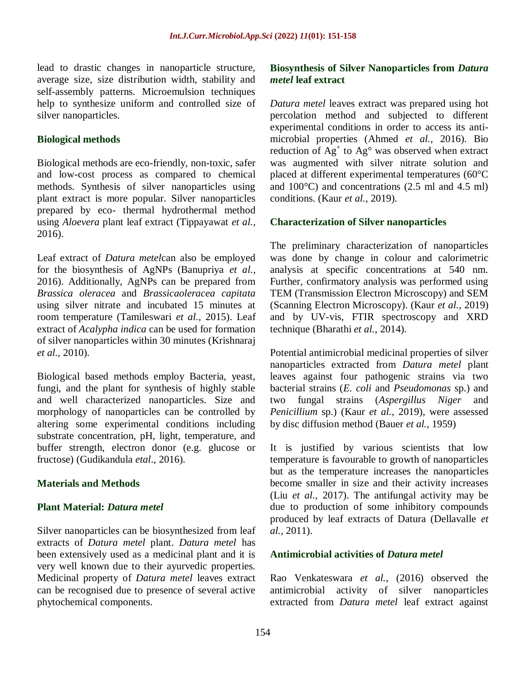lead to drastic changes in nanoparticle structure, average size, size distribution width, stability and self-assembly patterns. Microemulsion techniques help to synthesize uniform and controlled size of silver nanoparticles.

#### **Biological methods**

Biological methods are eco-friendly, non-toxic, safer and low-cost process as compared to chemical methods. Synthesis of silver nanoparticles using plant extract is more popular. Silver nanoparticles prepared by eco- thermal hydrothermal method using *Aloevera* plant leaf extract (Tippayawat *et al.,* 2016).

Leaf extract of *Datura metel*can also be employed for the biosynthesis of AgNPs (Banupriya *et al.,* 2016). Additionally, AgNPs can be prepared from *Brassica oleracea* and *Brassicaoleracea capitata* using silver nitrate and incubated 15 minutes at room temperature (Tamileswari *et al.,* 2015). Leaf extract of *Acalypha indica* can be used for formation of silver nanoparticles within 30 minutes (Krishnaraj *et al.,* 2010).

Biological based methods employ Bacteria, yeast, fungi, and the plant for synthesis of highly stable and well characterized nanoparticles. Size and morphology of nanoparticles can be controlled by altering some experimental conditions including substrate concentration, pH, light, temperature, and buffer strength, electron donor (e.g. glucose or fructose) (Gudikandula *etal*., 2016).

### **Materials and Methods**

#### **Plant Material:** *Datura metel*

Silver nanoparticles can be biosynthesized from leaf extracts of *Datura metel* plant. *Datura metel* has been extensively used as a medicinal plant and it is very well known due to their ayurvedic properties. Medicinal property of *Datura metel* leaves extract can be recognised due to presence of several active phytochemical components.

#### **Biosynthesis of Silver Nanoparticles from** *Datura metel* **leaf extract**

*Datura metel* leaves extract was prepared using hot percolation method and subjected to different experimental conditions in order to access its antimicrobial properties (Ahmed *et al.,* 2016). Bio reduction of  $Ag<sup>+</sup>$  to  $Ag<sup>°</sup>$  was observed when extract was augmented with silver nitrate solution and placed at different experimental temperatures (60°C and  $100^{\circ}$ C) and concentrations (2.5 ml and 4.5 ml) conditions. (Kaur *et al.,* 2019).

#### **Characterization of Silver nanoparticles**

The preliminary characterization of nanoparticles was done by change in colour and calorimetric analysis at specific concentrations at 540 nm. Further, confirmatory analysis was performed using TEM (Transmission Electron Microscopy) and SEM (Scanning Electron Microscopy). (Kaur *et al.,* 2019) and by UV-vis, FTIR spectroscopy and XRD technique (Bharathi *et al.,* 2014).

Potential antimicrobial medicinal properties of silver nanoparticles extracted from *Datura metel* plant leaves against four pathogenic strains via two bacterial strains (*E. coli* and *Pseudomonas* sp.) and two fungal strains (*Aspergillus Niger* and *Penicillium* sp.) (Kaur *et al.,* 2019), were assessed by disc diffusion method (Bauer *et al.,* 1959)

It is justified by various scientists that low temperature is favourable to growth of nanoparticles but as the temperature increases the nanoparticles become smaller in size and their activity increases (Liu *et al.,* 2017). The antifungal activity may be due to production of some inhibitory compounds produced by leaf extracts of Datura (Dellavalle *et al.,* 2011).

#### **Antimicrobial activities of** *Datura metel*

Rao Venkateswara *et al.,* (2016) observed the antimicrobial activity of silver nanoparticles extracted from *Datura metel* leaf extract against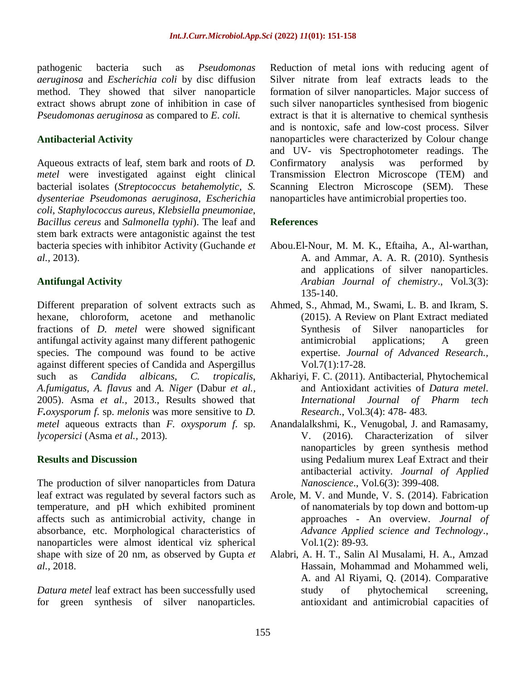pathogenic bacteria such as *Pseudomonas aeruginosa* and *Escherichia coli* by disc diffusion method. They showed that silver nanoparticle extract shows abrupt zone of inhibition in case of *Pseudomonas aeruginosa* as compared to *E. coli.*

### **Antibacterial Activity**

Aqueous extracts of leaf, stem bark and roots of *D. metel* were investigated against eight clinical bacterial isolates (*Streptococcus betahemolytic*, *S. dysenteriae Pseudomonas aeruginosa*, *Escherichia coli*, *Staphylococcus aureus*, *Klebsiella pneumoniae*, *Bacillus cereus* and *Salmonella typhi*). The leaf and stem bark extracts were antagonistic against the test bacteria species with inhibitor Activity (Guchande *et al.,* 2013).

### **Antifungal Activity**

Different preparation of solvent extracts such as hexane, chloroform, acetone and methanolic fractions of *D. metel* were showed significant antifungal activity against many different pathogenic species. The compound was found to be active against different species of Candida and Aspergillus such as *Candida albicans*, *C. tropicalis*, *A.fumigatus, A. flavus* and *A. Niger* (Dabur *et al.,* 2005). Asma *et al.,* 2013., Results showed that *F.oxysporum f.* sp. *melonis* was more sensitive to *D. metel* aqueous extracts than *F. oxysporum f.* sp. *lycopersici* (Asma *et al.,* 2013)*.* 

### **Results and Discussion**

The production of silver nanoparticles from Datura leaf extract was regulated by several factors such as temperature, and pH which exhibited prominent affects such as antimicrobial activity, change in absorbance, etc. Morphological characteristics of nanoparticles were almost identical viz spherical shape with size of 20 nm, as observed by Gupta *et al.,* 2018.

*Datura metel* leaf extract has been successfully used for green synthesis of silver nanoparticles.

Reduction of metal ions with reducing agent of Silver nitrate from leaf extracts leads to the formation of silver nanoparticles. Major success of such silver nanoparticles synthesised from biogenic extract is that it is alternative to chemical synthesis and is nontoxic, safe and low-cost process. Silver nanoparticles were characterized by Colour change and UV- vis Spectrophotometer readings. The Confirmatory analysis was performed by Transmission Electron Microscope (TEM) and Scanning Electron Microscope (SEM). These nanoparticles have antimicrobial properties too.

## **References**

- Abou.El-Nour, M. M. K., Eftaiha, A., Al-warthan, A. and Ammar, A. A. R. (2010). Synthesis and applications of silver nanoparticles. *Arabian Journal of chemistry*., Vol.3(3): 135-140.
- Ahmed, S., Ahmad, M., Swami, L. B. and Ikram, S. (2015). A Review on Plant Extract mediated Synthesis of Silver nanoparticles for antimicrobial applications; A green expertise. *Journal of Advanced Research.,*  Vol.7(1):17-28.
- Akhariyi, F. C. (2011). Antibacterial, Phytochemical and Antioxidant activities of *Datura metel*. *International Journal of Pharm tech Research*., Vol.3(4): 478- 483.
- Anandalalkshmi, K., Venugobal, J. and Ramasamy, V. (2016). Characterization of silver nanoparticles by green synthesis method using Pedalium murex Leaf Extract and their antibacterial activity. *Journal of Applied Nanoscience*., Vol.6(3): 399-408.
- Arole, M. V. and Munde, V. S. (2014). Fabrication of nanomaterials by top down and bottom-up approaches - An overview. *Journal of Advance Applied science and Technology*., Vol.1(2): 89-93.
- Alabri, A. H. T., Salin Al Musalami, H. A., Amzad Hassain, Mohammad and Mohammed weli, A. and Al Riyami, Q. (2014). Comparative study of phytochemical screening, antioxidant and antimicrobial capacities of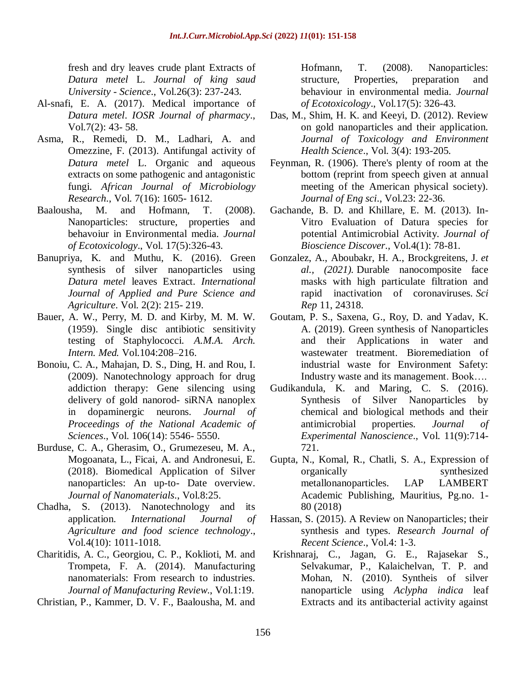fresh and dry leaves crude plant Extracts of *Datura metel* L. *Journal of king saud University - Science*., Vol.26(3): 237-243.

- Al-snafi, E. A. (2017). Medical importance of *Datura metel*. *IOSR Journal of pharmacy*., Vol.7(2): 43- 58.
- Asma, R., Remedi, D. M., Ladhari, A. and Omezzine, F. (2013). Antifungal activity of *Datura metel* L. Organic and aqueous extracts on some pathogenic and antagonistic fungi. *African Journal of Microbiology Research*., Vol. 7(16): 1605- 1612.
- Baalousha, M. and Hofmann, T. (2008). Nanoparticles: structure, properties and behavoiur in Environmental media. *Journal of Ecotoxicology*., Vol. 17(5):326-43.
- Banupriya, K. and Muthu, K. (2016). Green synthesis of silver nanoparticles using *Datura metel* leaves Extract. *International Journal of Applied and Pure Science and Agriculture*. Vol. 2(2): 215- 219.
- Bauer, A. W., Perry, M. D. and Kirby, M. M. W. (1959). Single disc antibiotic sensitivity testing of Staphylococci. *A.M.A. Arch. Intern. Med.* Vol.104:208–216.
- Bonoiu, C. A., Mahajan, D. S., Ding, H. and Rou, I. (2009). Nanotechnology approach for drug addiction therapy: Gene silencing using delivery of gold nanorod- siRNA nanoplex in dopaminergic neurons. *Journal of Proceedings of the National Academic of Sciences*., Vol. 106(14): 5546- 5550.
- Burduse, C. A., Gherasim, O., Grumezeseu, M. A., Mogoanata, L., Ficai, A. and Andronesui, E. (2018). Biomedical Application of Silver nanoparticles: An up-to- Date overview. *Journal of Nanomaterials*., Vol.8:25.
- Chadha, S. (2013). Nanotechnology and its application. *International Journal of Agriculture and food science technology*., Vol.4(10): 1011-1018.
- Charitidis, A. C., Georgiou, C. P., Koklioti, M. and Trompeta, F. A. (2014). Manufacturing nanomaterials: From research to industries. *Journal of Manufacturing Review*., Vol.1:19.
- Christian, P., Kammer, D. V. F., Baalousha, M. and

Hofmann, T. (2008). Nanoparticles: structure, Properties, preparation and behaviour in environmental media. *Journal of Ecotoxicology*., Vol.17(5): 326-43.

- Das, M., Shim, H. K. and Keeyi, D. (2012). Review on gold nanoparticles and their application. *Journal of Toxicology and Environment Health Science*., Vol. 3(4): 193-205.
- Feynman, R. (1906). There's plenty of room at the bottom (reprint from speech given at annual meeting of the American physical society). *Journal of Eng sci*., Vol.23: 22-36.
- Gachande, B. D. and Khillare, E. M. (2013). In-Vitro Evaluation of Datura species for potential Antimicrobial Activity. *Journal of Bioscience Discover*., Vol.4(1): 78-81.
- Gonzalez, A., Aboubakr, H. A., Brockgreitens, J. *et al., (2021).* Durable nanocomposite face masks with high particulate filtration and rapid inactivation of coronaviruses. *Sci Rep* 11, 24318.
- Goutam, P. S., Saxena, G., Roy, D. and Yadav, K. A. (2019). Green synthesis of Nanoparticles and their Applications in water and wastewater treatment. Bioremediation of industrial waste for Environment Safety: Industry waste and its management. Book….
- Gudikandula, K. and Maring, C. S. (2016). Synthesis of Silver Nanoparticles by chemical and biological methods and their antimicrobial properties. *Journal of Experimental Nanoscience*., Vol. 11(9):714- 721.
- Gupta, N., Komal, R., Chatli, S. A., Expression of organically synthesized metallonanoparticles. LAP LAMBERT Academic Publishing, Mauritius, Pg.no. 1- 80 (2018)
- Hassan, S. (2015). A Review on Nanoparticles; their synthesis and types. *Research Journal of Recent Science*., Vol.4: 1-3.
- Krishnaraj, C., Jagan, G. E., Rajasekar S., Selvakumar, P., Kalaichelvan, T. P. and Mohan, N. (2010). Syntheis of silver nanoparticle using *Aclypha indica* leaf Extracts and its antibacterial activity against